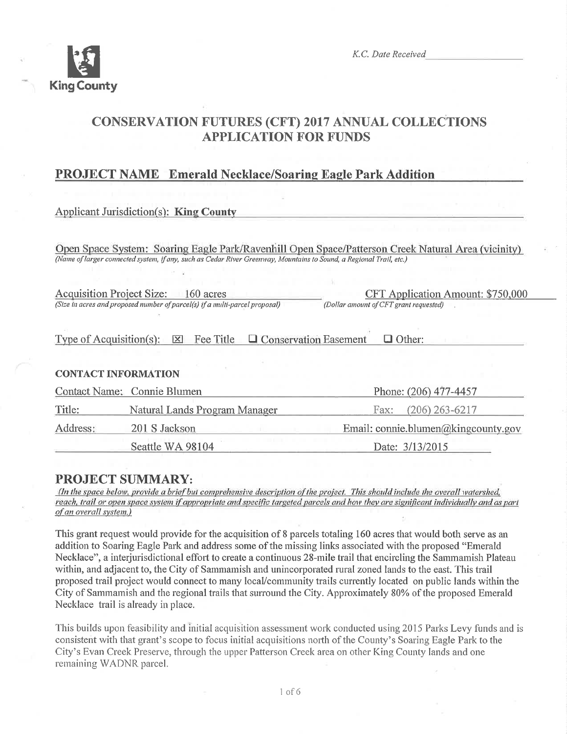

K.C. Date Received

# **CONSERVATION FUTURES (CFT) 2017 ANNUAL COLLECTIONS APPLICATION FOR FUNDS**

# **PROJECT NAME** Emerald Necklace/Soaring Eagle Park Addition

# **Applicant Jurisdiction(s): King County**

Open Space System: Soaring Eagle Park/Ravenhill Open Space/Patterson Creek Natural Area (vicinity) (Name of larger connected system, if any, such as Cedar River Greenway, Mountains to Sound, a Regional Trail, etc.)

Acquisition Project Size: 160 acres CFT Application Amount: \$750,000 (Size in acres and proposed number of parcel(s) if a multi-parcel proposal) (Dollar amount of CFT grant requested)

Type of Acquisition(s):  $\boxtimes$  Fee Title  $\Box$  Conservation Easement  $\Box$  Other:

# **CONTACT INFORMATION**

|          | Contact Name: Connie Blumen   | Phone: (206) 477-4457               |  |
|----------|-------------------------------|-------------------------------------|--|
| Title:   | Natural Lands Program Manager | Fax: $(206)$ 263-6217               |  |
| Address: | 201 S Jackson                 | Email: connie.blumen@kingcounty.gov |  |
|          | Seattle WA 98104              | Date: 3/13/2015                     |  |

# **PROJECT SUMMARY:**

(In the space below, provide a brief but comprehensive description of the project. This should include the overall watershed, reach, trail or open space system if appropriate and specific targeted parcels and how they are significant individually and as part of an overall system.)

This grant request would provide for the acquisition of 8 parcels totaling 160 acres that would both serve as an addition to Soaring Eagle Park and address some of the missing links associated with the proposed "Emerald" Necklace", a interjurisdictional effort to create a continuous 28-mile trail that encircling the Sammamish Plateau within, and adjacent to, the City of Sammamish and unincorporated rural zoned lands to the east. This trail proposed trail project would connect to many local/community trails currently located on public lands within the City of Sammamish and the regional trails that surround the City. Approximately 80% of the proposed Emerald Necklace trail is already in place.

This builds upon feasibility and initial acquisition assessment work conducted using 2015 Parks Levy funds and is consistent with that grant's scope to focus initial acquisitions north of the County's Soaring Eagle Park to the City's Evan Creek Preserve, through the upper Patterson Creek area on other King County lands and one remaining WADNR parcel.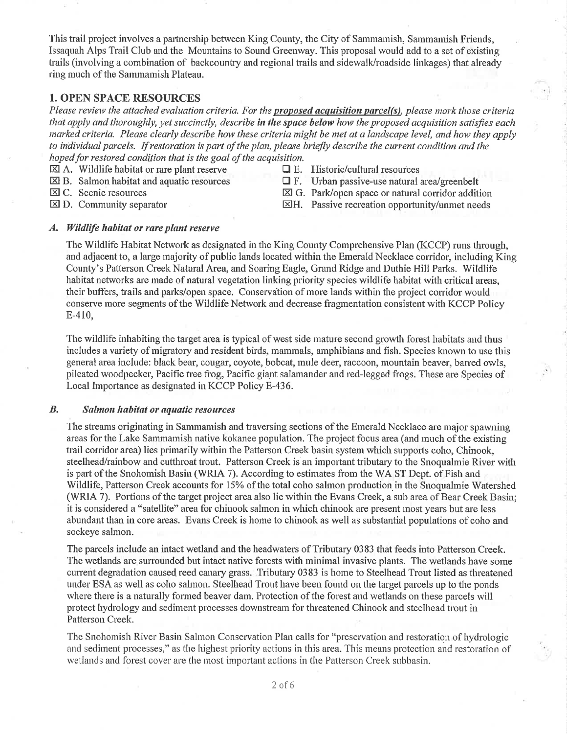This trail project involves a partnership between King County, the City of Sammamish, Sammamish Friends, Issaquah Alps Trail Club and the Mountains to Sound Greenway. This proposal would add to a set of existing trails (involving a combination of backcountry and regional trails and sidewalk/roadside linkages) that already ring much of the Sammamish Plateau.

# 1. OPEN SPACE RESOURCES

Please review the attached evaluation criteria. For the **proposed acquisition parcel(s)**, please mark those criteria that apply and thoroughly, yet succinctly, describe in the space below how the proposed acquisition satisfies each marked criteria. Please clearly describe how these criteria might be met at a landscape level, and how they apply to individual parcels. If restoration is part of the plan, please briefly describe the current condition and the hoped for restored condition that is the goal of the acquisition.

- $\boxtimes$  A. Wildlife habitat or rare plant reserve  $\Box$  E. Historic/cultural resources  $\Box$  E. Urban passive-use natural is
- 
- 
- 
- 
- $\boxtimes$  B. Salmon habitat and aquatic resources  $\Box$  F. Urban passive-use natural area/greenbelt  $\boxtimes$  C. Scenic resources  $\boxtimes$  G. Park/open space or natural corridor addit
- E C. Scenic resources <br>
E G. Park/open space or natural corridor addition<br>
E H. Passive recreation opportunity/unmet needs
	- $\boxtimes$ H. Passive recreation opportunity/unmet needs

#### A. Wildlife habitat or rare plant reserve

The Wildlife Habitat Network as designated in the King County Comprehensive Plan (KCCP) runs through, and adjacent to, a large majority of public lands located within the Emerald Necklace corridor, including King County's Patterson Creek Natural Area, and Soaring Eagle, Grand Ridge and Duthie Hill Parks. Wildlife habitat networks are made of natural vegetation linking priority species wildlife habitat with critical areas, their buffers, trails and parks/open space. Conservation of more lands within the project corridor would conserve more segments of the Wildlife Network and decrease fragmentation consistent with KCCP Policy E-410,

The wildlife inhabiting the target area is typical of west side mature second growth forest habitats and thus includes a variety of migratory and resident birds, mammals, amphibians and fish. Species known to use this general area include: black bear, cougar, coyote, bobcat, mule deer, raccoon, mountain beaver, barred owls, pileated woodpecker, Pacific tree frog, Pacific giant salamander and red-legged frogs. These are Species of Local hnportance as designated in KCCP Policy E-436.

#### B. Salmon habitat or aquatic resources

The streams originating in Sammamish and traversing sections of the Emerald Necklace are major spawning areas for the Lake Sammamish native kokanee population. The project focus area (and much of the existing trail corridor area) lies primarily within the Patterson Creek basin system which supports coho, Chinook, steelhead/rainbow and cutthroat trout. Patterson Creek is an important tributary to the Snoqualmie River with is part of the Snohornish Basin (WRIA 7). According to estimates from the WA ST Dept. of Fish and Wildlife, Patterson Creek accounts for 15% of the total coho salmon production in the Snoqualmie Watershed (WRIA 7). Portions of the target project area also lie within the Evans Creek, a sub area of Bear Creek Basin; it is considered a "satellite" area for chinook salmon in which chinook are present most years but are less abundant than in core areas. Evans Creek is home to chinook as well as substantial populations of coho and sockeye salmon.

The parcels include an intact wetland and the headwaters of Tributary 0383 that feeds into Patterson Creek. The wetlands are surrounded but intact native forests with minirnal invasive plants. The wetlands have some current degradation caused reed canary grass. Tributary 0383 is home to Steelhead Trout listed as threatened under ESA as well as coho salmon. Steelhead Trout have been found on the target parcels up to the ponds where there is a naturally formed beaver dam. Protection of the forest and wetlands on these parcels will protect hydrology and sediment processes downstream for threatened Chinook and steelhead trout in Patterson Creek.

The Snohomish River Basin Salmon Conservation Plan calls for "preservation and restoration of hydrologic and sediment processes," as the highest priority actions in this area. This means protection and restoration of wetlands and forest cover are the most important actions in the Patterson Creek subbasin.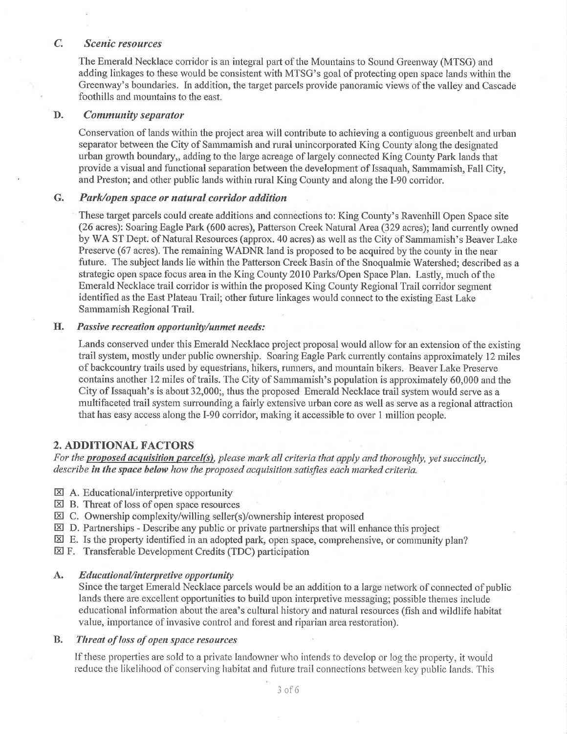# C. Scenic resources

The Emerald Necklace corridor is an integral part of the Mountains to Sound Greenway (MTSG) and adding linkages to these would be consistent with MTSG's goal of protecting open space lands within the Greenway's boundaries. In addition, the target parcels provide panoramic views of the valley and Cascade foothills and mountains to the east.

#### D. Community separator

Conservation of lands within the project area will contribute to achieving a contiguous greenbelt and urban separator between the City of Sammamish and rural unincorporated King County along the designated urban growth boundary,, adding to the large acreage of largely connected King County Park lands that provide a visual and functional separation between the development of Issaquah, Sammamish, Fall City, and Preston; and other public lands within rural King County and along the I-90 conidor.

## G. Park/open space or natural corridor addition

These target parcels could create additions and connections to: King County's Ravenhill Open Space site (26 acres): Soaring Eagle Park (600 acres), Patterson Creek Natural Area (329 acres); land currently owned by WA ST Dept. of Natural Resources (approx. 40 acres) as well as the City of Sammamish's Beaver Lake Preserve (67 acres). The remaining WADNR land is proposed to be acquired by the county in the near future. The subject lands lie within the Patterson Creek Basin of the Snoqualmie Watershed; described as a strategic open space focus area in the King County 2010 Parks/Open Space Plan. Lastly, much of the Emerald Necklace trail conidor is within the proposed King County Regional Trail conidor segment identified as the East Plateau Trail; other future linkages would connect to the existing East Lake Sammamish Regional Trail.

## H. Passive recreation opportunity/unmet needs:

Lands conserved under this Emerald Necklace project proposal would allow for an extension of the existing trail system, mostly under public ownership. Soaring Eagle Park currently contains approximately 12 miles of backcountry trails used by equestrians, hikers, runners, and mountain bikers. Beaver Lake Preserve contains another 12 miles of trails. The City of Sammamish's population is approximately 60,000 and the City of Issaquah's is about 32,000;, thus the proposed Emerald Necklace trail system would serve as a multifaceted trail system surrounding a fairly extensive urban core as well as serve as a regional attraction that has easy access along the I-90 corridor, making it accessible to over 1 million people.

# 2. ADDITIONAL FACTORS

For the **proposed acquisition parcel(s)**, please mark all criteria that apply and thoroughly, yet succinctly, describe in the space below how the proposed acquisition satisfies each marked criteria.

- **Extra** A. Educational/interpretive opportunity
- ED B. Threat of loss of open space resources
- $\boxtimes$  C. Ownership complexity/willing seller(s)/ownership interest proposed
- ED. Partnerships Describe any public or private partnerships that will enhance this project **No.** Partnerships Describe any public or private partnerships that will enhance this project
- $\boxtimes$  E. Is the property identified in an adopted park, open space, comprehensive, or community plan?
- $\boxtimes$  F. Transferable Development Credits (TDC) participation

#### A. Educational/interpretive opportunity

Since the target Emerald Necklace parcels would be an addition to a large network of connected of public lands there are excellent opportunities to build upon interpretive messaging; possible themes include educational information about the area's cultural history and natural resources (fish and wildlife habitat value, importance of invasive control and forest and riparian area restoration).

#### B. Threat of loss of open space resources

If these properties are sold to a private landowner who intends to develop or log the property, it would reduce the likelihood of conserving habitat and future trail connections between key public lands. This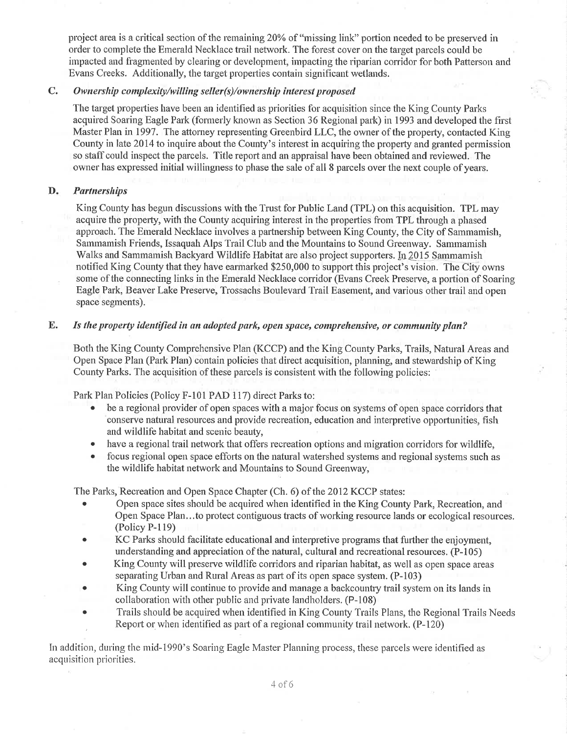project area is a critical section of the remaining 20% of "missing link" portion needed to be preserved in order to cornplete the Ernerald Necklace trail network. The forest cover on the target parcels could be impacted and fragmented by clearing or development, impacting the riparian corridor for both Patterson and Evans Creeks. Additionally, the target properties contain significant wetlands.

## C. Ownership complexity/willing seller(s)/ownership interest proposed

The target properties have been an identified as priorities for acquisition since the King County Parks acquired Soaring Eagle Park (formerly known as Section 36 Regional park) in 1993 and developed the first Master Plan in 1997. The attorney representing Greenbird LLC, the owner of the property, contacted King County in late 2014 to inquire about the County's interest in acquiring the property and granted permission so staff could inspect the parcels. Title report and an appraisal have been obtained and reviewed. The owner has expressed initiat willingness to phase the sale of all 8 parcels over the next couple of years.

## D. Partnerships

King County has begun discussions with the Trust for Public Land (TPL) on this acquisition. TPL may acquire the property, with the County acquiring interest in the properties from TPL through a phased approach. The Emerald Necklace involves a partnership between King County, the City of Sammamish, Sammamish Friends, Issaquah Alps Trail Club and the Mountains to Sound Greenway. Sammamish Walks and Sammamish Backyard Wildlife Habitat are also project supporters. In 2015 Sammamish notified King County that they have earmarked \$250,000 to support this project's vision. The City owns some of the connecting links in the Emerald Necklace corridor (Evans Creek Preserve, a portion of Soaring Eagle Park, Beaver Lake Preserve, Trossachs Boulevard Trail Easement, and various other trail and open space segments).

## E. Is ilte property identified in on adopted park, open spøce, comprehensive, or community plan?

Both the King County Comprehensive Plan (KCCP) and the King County Parks, Trails, Natural Areas and Open Space Plan (Park Plan) contain policies that direct acquisition, planning, and stewardship of King County Parks. The acquisition of these parcels is consistent with the following policies:

Park Plan Policies (Policy F-101 PAD 117) direct Parks to:

- $\bullet$  be a regional provider of open spaces with a major focus on systems of open space corridors that conserve natural resources and provide recreation, education and interpretive opportunities, fish and wildlife habitat and scenic beauty,
- have a regional trail network that offers recreation options and migration corridors for wildlife,
- focus regional open space efforts on the natural watershed systems and regional systems such as the wildlife habitat network and Mountains to Sound Greenway,

The Parks, Recreation and Open Space Chapter (Ch. 6) of the 2012 KCCP states:

- . Open space sites should be acquired when identified in the King County Park, Recreation, and Open Space Plan...to protect contiguous tracts of working resource lands or ecological resources. (Policy P-119)
- o KC Parks should facilitate educational and interpretive programs that further the enjoyment, understanding and appreciation of the natural, cultural and recreational resources.  $(P-105)$
- . King County will preserve wildlife corridors and riparian habitat, as well as open space areas separating Urban and Rural Areas as part of its open space system. (P-103)
- o King County will continue to provide and manage a backcountry trail systern on its lands in collaboration with other public and private landholders. (P-108)
- Trails should be acquired when identified in King County Trails Plans, the Regional Trails Needs Report or when identified as part of a regional community trail network.  $(P-120)$

In addition, during the mid-1990's Soaring Eagle Master Planning process, these parcels were identified as acquisition priorities.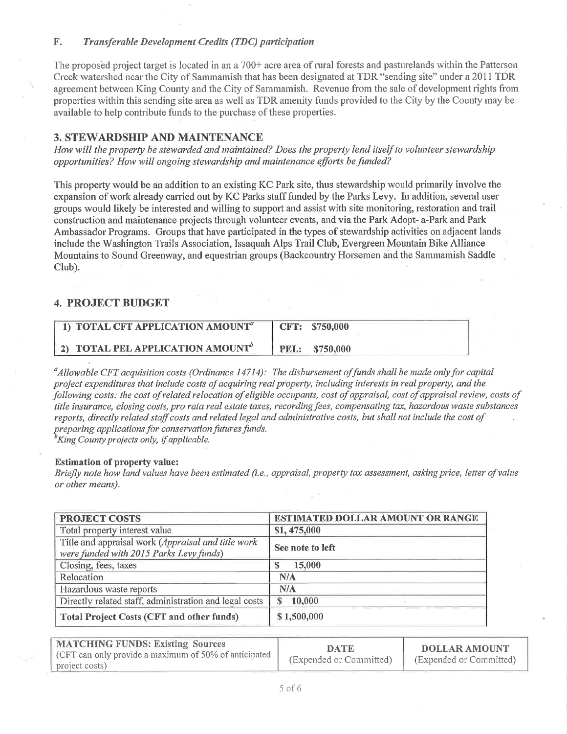#### $\mathbf{F}$ . **Transferable Development Credits (TDC) participation**

The proposed project target is located in an a 700+ acre area of rural forests and pasturelands within the Patterson Creek watershed near the City of Sammamish that has been designated at TDR "sending site" under a 2011 TDR agreement between King County and the City of Sammamish. Revenue from the sale of development rights from properties within this sending site area as well as TDR amenity funds provided to the City by the County may be available to help contribute funds to the purchase of these properties.

# 3. STEWARDSHIP AND MAINTENANCE

How will the property be stewarded and maintained? Does the property lend itself to volunteer stewardship opportunities? How will ongoing stewardship and maintenance efforts be funded?

This property would be an addition to an existing KC Park site, thus stewardship would primarily involve the expansion of work already carried out by KC Parks staff funded by the Parks Levy. In addition, several user groups would likely be interested and willing to support and assist with site monitoring, restoration and trail construction and maintenance projects through volunteer events, and via the Park Adopt- a-Park and Park Ambassador Programs. Groups that have participated in the types of stewardship activities on adjacent lands include the Washington Trails Association, Issaquah Alps Trail Club, Evergreen Mountain Bike Alliance Mountains to Sound Greenway, and equestrian groups (Backcountry Horsemen and the Sammamish Saddle Club).

# **4. PROJECT BUDGET**

| 1) TOTAL CFT APPLICATION AMOUNT <sup>a</sup> | CFT: \$750,000    |
|----------------------------------------------|-------------------|
| 2) TOTAL PEL APPLICATION AMOUNT <sup>o</sup> | PEL:<br>\$750,000 |

 $\alpha$ Allowable CFT acquisition costs (Ordinance 14714): The disbursement of funds shall be made only for capital project expenditures that include costs of acquiring real property, including interests in real property, and the following costs: the cost of related relocation of eligible occupants, cost of appraisal, cost of appraisal review, costs of title insurance, closing costs, pro rata real estate taxes, recording fees, compensating tax, hazardous waste substances reports, directly related staff costs and related legal and administrative costs, but shall not include the cost of preparing applications for conservation futures funds.  $\mathcal{C}$  King County projects only, if applicable.

#### **Estimation of property value:**

Briefly note how land values have been estimated (i.e., appraisal, property tax assessment, asking price, letter of value or other means).

| <b>PROJECT COSTS</b>                                                                          | <b>ESTIMATED DOLLAR AMOUNT OR RANGE</b> |  |  |
|-----------------------------------------------------------------------------------------------|-----------------------------------------|--|--|
| Total property interest value                                                                 | \$1,475,000                             |  |  |
| Title and appraisal work (Appraisal and title work<br>were funded with 2015 Parks Levy funds) | See note to left                        |  |  |
| Closing, fees, taxes                                                                          | 15,000<br>S                             |  |  |
| Relocation                                                                                    | N/A                                     |  |  |
| Hazardous waste reports                                                                       | N/A                                     |  |  |
| Directly related staff, administration and legal costs                                        | 10,000                                  |  |  |
| <b>Total Project Costs (CFT and other funds)</b>                                              | \$1,500,000                             |  |  |

| <b>MATCHING FUNDS: Existing Sources</b><br>$\mid$ (CFT can only provide a maximum of 50% of anticipated $\mid$<br>project costs) | <b>DATE</b><br>(Expended or Committed) | <b>DOLLAR AMOUNT</b><br>(Expended or Committed) |
|----------------------------------------------------------------------------------------------------------------------------------|----------------------------------------|-------------------------------------------------|
|----------------------------------------------------------------------------------------------------------------------------------|----------------------------------------|-------------------------------------------------|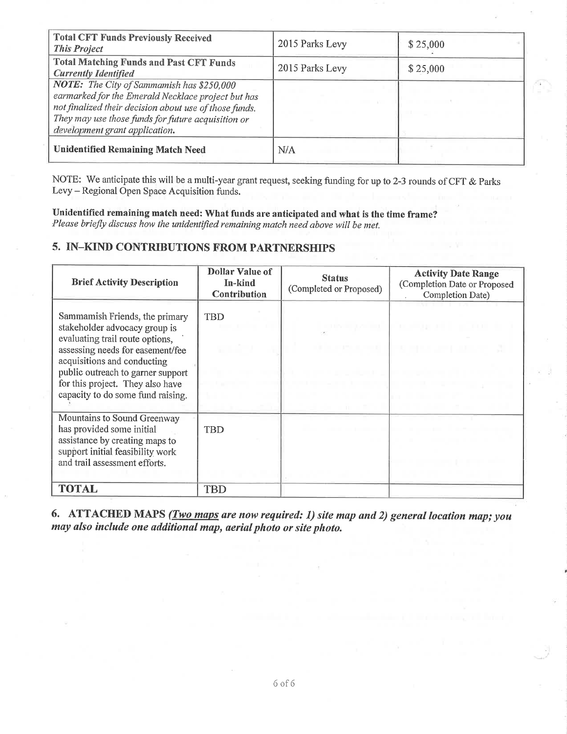| <b>Total CFT Funds Previously Received</b><br><b>This Project</b>                                                                                                                                                                                        | 2015 Parks Levy | \$25,000 |
|----------------------------------------------------------------------------------------------------------------------------------------------------------------------------------------------------------------------------------------------------------|-----------------|----------|
| <b>Total Matching Funds and Past CFT Funds</b><br><b>Currently Identified</b>                                                                                                                                                                            | 2015 Parks Levy | \$25,000 |
| <b>NOTE:</b> The City of Sammamish has \$250,000<br>earmarked for the Emerald Necklace project but has<br>not finalized their decision about use of those funds.<br>They may use those funds for future acquisition or<br>development grant application. |                 |          |
| <b>Unidentified Remaining Match Need</b>                                                                                                                                                                                                                 | N/A             |          |

NOTE: We anticipate this will be a multi-year grant request, seeking funding for up to 2-3 rounds of CFT & Parks Levy - Regional Open Space Acquisition funds.

Unidentified remaining match need: What funds are anticipated and what is the time frame? Please briefly discuss how the unidentified remaining match need above will be met.

# 5. IN-KIND CONTRIBUTIONS FROM PARTNERSHIPS

| <b>Brief Activity Description</b>                                                                                                                                                                                                                                                   | <b>Dollar Value of</b><br>In-kind<br><b>Contribution</b> | <b>Status</b><br>(Completed or Proposed) | <b>Activity Date Range</b><br>(Completion Date or Proposed<br>Completion Date) |
|-------------------------------------------------------------------------------------------------------------------------------------------------------------------------------------------------------------------------------------------------------------------------------------|----------------------------------------------------------|------------------------------------------|--------------------------------------------------------------------------------|
| Sammamish Friends, the primary<br>stakeholder advocacy group is<br>evaluating trail route options,<br>assessing needs for easement/fee<br>acquisitions and conducting<br>public outreach to garner support<br>for this project. They also have<br>capacity to do some fund raising. | TBD                                                      |                                          |                                                                                |
| Mountains to Sound Greenway<br>has provided some initial<br>assistance by creating maps to<br>support initial feasibility work<br>and trail assessment efforts.                                                                                                                     | TBD                                                      |                                          |                                                                                |
| <b>TOTAL</b>                                                                                                                                                                                                                                                                        | TBD                                                      |                                          |                                                                                |

6. ATTACHED MAPS (*Two maps are now required: 1) site map and 2) general location map; you* may also include one additional map, aerial photo or site photo.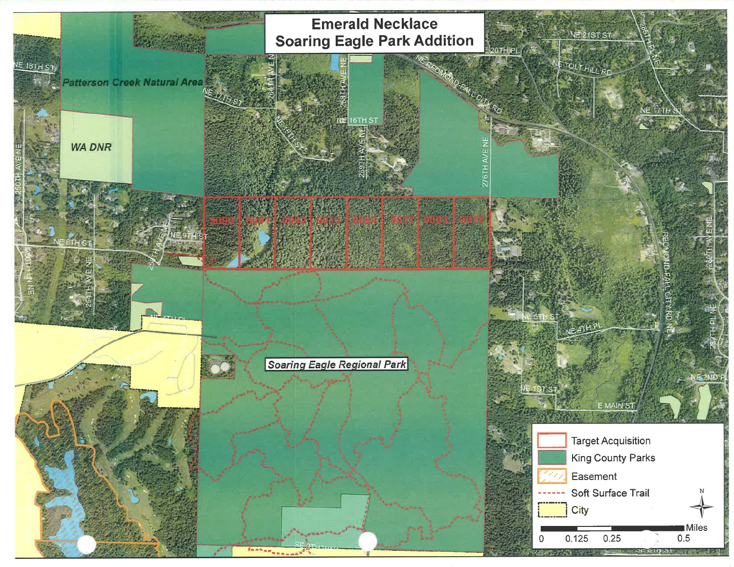